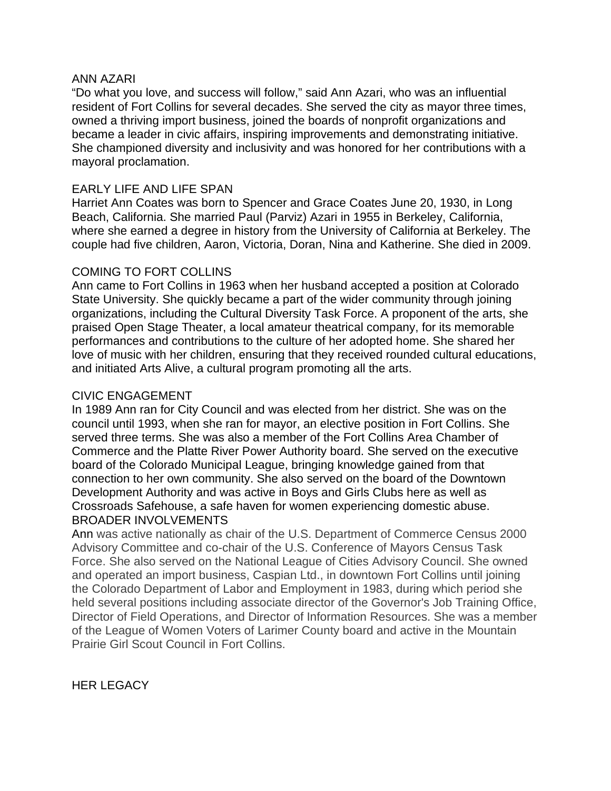## ANN AZARI

"Do what you love, and success will follow," said Ann Azari, who was an influential resident of Fort Collins for several decades. She served the city as mayor three times, owned a thriving import business, joined the boards of nonprofit organizations and became a leader in civic affairs, inspiring improvements and demonstrating initiative. She championed diversity and inclusivity and was honored for her contributions with a mayoral proclamation.

## EARLY LIFE AND LIFE SPAN

Harriet Ann Coates was born to Spencer and Grace Coates June 20, 1930, in Long Beach, California. She married Paul (Parviz) Azari in 1955 in Berkeley, California, where she earned a degree in history from the University of California at Berkeley. The couple had five children, Aaron, Victoria, Doran, Nina and Katherine. She died in 2009.

## COMING TO FORT COLLINS

Ann came to Fort Collins in 1963 when her husband accepted a position at Colorado State University. She quickly became a part of the wider community through joining organizations, including the Cultural Diversity Task Force. A proponent of the arts, she praised Open Stage Theater, a local amateur theatrical company, for its memorable performances and contributions to the culture of her adopted home. She shared her love of music with her children, ensuring that they received rounded cultural educations, and initiated Arts Alive, a cultural program promoting all the arts.

## CIVIC ENGAGEMENT

In 1989 Ann ran for City Council and was elected from her district. She was on the council until 1993, when she ran for mayor, an elective position in Fort Collins. She served three terms. She was also a member of the Fort Collins Area Chamber of Commerce and the Platte River Power Authority board. She served on the executive board of the Colorado Municipal League, bringing knowledge gained from that connection to her own community. She also served on the board of the Downtown Development Authority and was active in Boys and Girls Clubs here as well as Crossroads Safehouse, a safe haven for women experiencing domestic abuse. BROADER INVOLVEMENTS

Ann was active nationally as chair of the U.S. Department of Commerce Census 2000 Advisory Committee and co-chair of the U.S. Conference of Mayors Census Task Force. She also served on the National League of Cities Advisory Council. She owned and operated an import business, Caspian Ltd., in downtown Fort Collins until joining the Colorado Department of Labor and Employment in 1983, during which period she held several positions including associate director of the Governor's Job Training Office, Director of Field Operations, and Director of Information Resources. She was a member of the League of Women Voters of Larimer County board and active in the Mountain Prairie Girl Scout Council in Fort Collins.

HER LEGACY